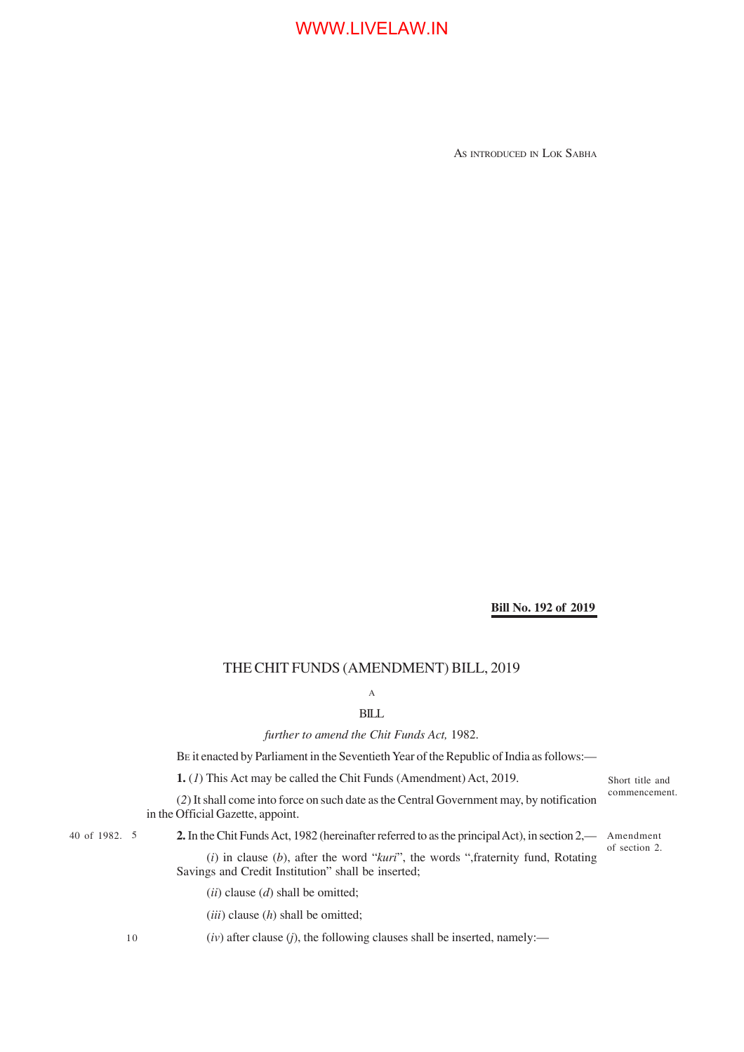AS INTRODUCED IN LOK SABHA

### **Bill No. 192 of 2019**

### THE CHIT FUNDS (AMENDMENT) BILL, 2019

### A

### BILL

*further to amend the Chit Funds Act,* 1982.

BE it enacted by Parliament in the Seventieth Year of the Republic of India as follows:—

**1.** (*1*) This Act may be called the Chit Funds (Amendment) Act, 2019.

(*2*) It shall come into force on such date as the Central Government may, by notification in the Official Gazette, appoint.

Short title and commencement.

of section 2.

40 of 1982. 5

40 of 1982. 5 **2.** In the Chit Funds Act, 1982 (hereinafter referred to as the principal Act), in section 2,— Amendment

(*i*) in clause (*b*), after the word "*kuri*", the words ",fraternity fund, Rotating Savings and Credit Institution" shall be inserted;

(*ii*) clause (*d*) shall be omitted;

(*iii*) clause (*h*) shall be omitted;

 $(iv)$  after clause  $(j)$ , the following clauses shall be inserted, namely:—

10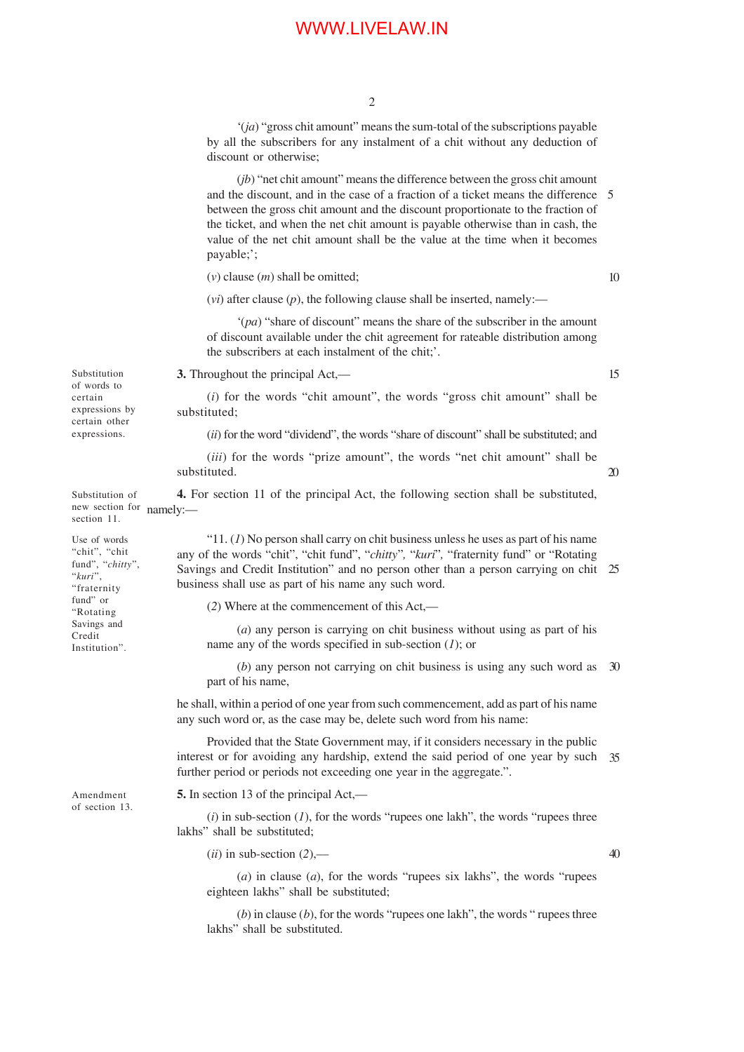2

'(*ja*) "gross chit amount" means the sum-total of the subscriptions payable by all the subscribers for any instalment of a chit without any deduction of discount or otherwise;

(*jb*) "net chit amount" means the difference between the gross chit amount and the discount, and in the case of a fraction of a ticket means the difference 5 between the gross chit amount and the discount proportionate to the fraction of the ticket, and when the net chit amount is payable otherwise than in cash, the value of the net chit amount shall be the value at the time when it becomes payable;';

(*v*) clause (*m*) shall be omitted;

 $(vi)$  after clause  $(p)$ , the following clause shall be inserted, namely:—

'(*pa*) "share of discount" means the share of the subscriber in the amount of discount available under the chit agreement for rateable distribution among the subscribers at each instalment of the chit;'.

**3.** Throughout the principal Act,—

(*i*) for the words "chit amount", the words "gross chit amount" shall be substituted;

(*ii*) for the word "dividend", the words "share of discount" shall be substituted; and

(*iii*) for the words "prize amount", the words "net chit amount" shall be substituted.

**4.** For section 11 of the principal Act, the following section shall be substituted, new section for namely:-Substitution of section 11.

> " $11. (1)$  No person shall carry on chit business unless he uses as part of his name any of the words "chit", "chit fund", "*chitty*"*,* "*kuri*"*,* "fraternity fund" or "Rotating Savings and Credit Institution" and no person other than a person carrying on chit 25 business shall use as part of his name any such word.

(*2*) Where at the commencement of this Act,—

(*a*) any person is carrying on chit business without using as part of his name any of the words specified in sub-section (*1*); or

(*b*) any person not carrying on chit business is using any such word as 30 part of his name,

he shall, within a period of one year from such commencement, add as part of his name any such word or, as the case may be, delete such word from his name:

Provided that the State Government may, if it considers necessary in the public interest or for avoiding any hardship, extend the said period of one year by such further period or periods not exceeding one year in the aggregate.". 35

**5.** In section 13 of the principal Act,––

(*i*) in sub-section (*1*), for the words "rupees one lakh", the words "rupees three lakhs" shall be substituted;

 $(ii)$  in sub-section  $(2)$ ,—

40

(*a*) in clause (*a*), for the words "rupees six lakhs", the words "rupees eighteen lakhs" shall be substituted;

(*b*) in clause (*b*), for the words "rupees one lakh", the words " rupees three lakhs" shall be substituted.

Substitution of words to certain expressions by certain other expressions.

Use of words "chit", "chit fund", "*chitty*", "*kuri*", "fraternity fund" or "Rotating Savings and Credit Institution".

Amendment of section 13.

20

15

10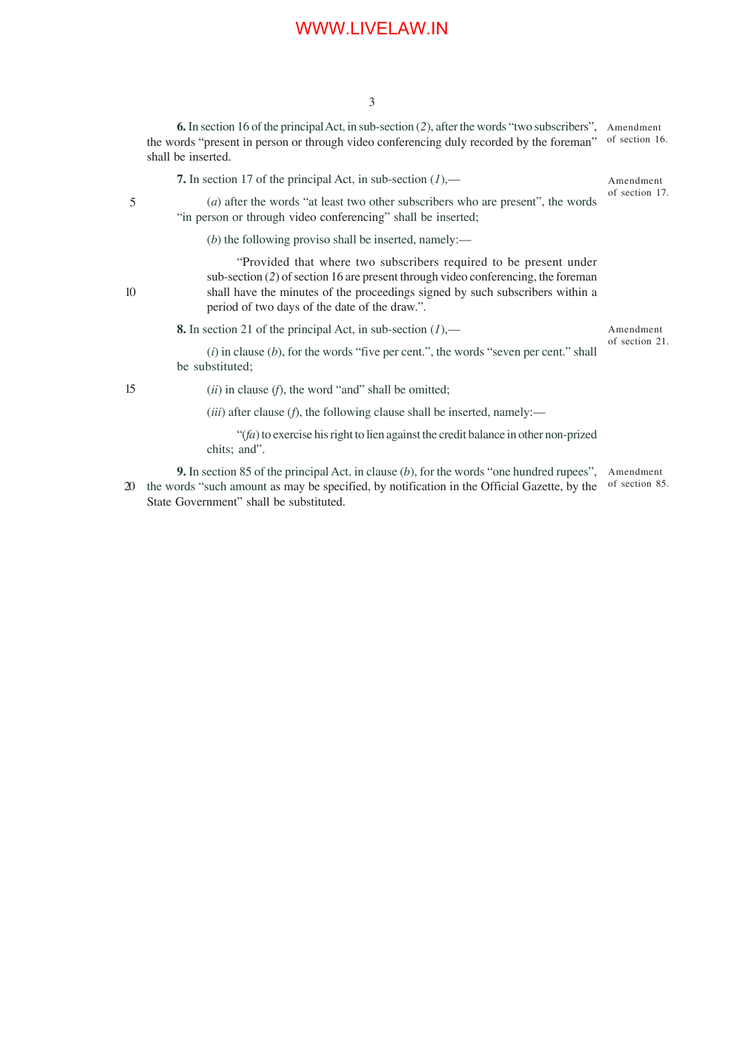**6.** In section 16 of the principal Act, in sub-section (*2*), after the words "two subscribers", Amendment the words "present in person or through video conferencing duly recorded by the foreman" shall be inserted. of section 16.

**7.** In section 17 of the principal Act, in sub-section (*1*),—

Amendment of section 17.

5

(*a*) after the words "at least two other subscribers who are present", the words "in person or through video conferencing" shall be inserted;

(*b*) the following proviso shall be inserted, namely:—

"Provided that where two subscribers required to be present under sub-section (*2*) of section 16 are present through video conferencing, the foreman shall have the minutes of the proceedings signed by such subscribers within a period of two days of the date of the draw.".

**8.** In section 21 of the principal Act, in sub-section (*1*),—

Amendment of section 21.

(*i*) in clause (*b*), for the words "five per cent.", the words "seven per cent." shall be substituted;

15

10

(*ii*) in clause (*f*), the word "and" shall be omitted;

(*iii*) after clause (*f*), the following clause shall be inserted, namely:—

"(*fa*) to exercise his right to lien against the credit balance in other non-prized chits; and".

**9.** In section 85 of the principal Act, in clause (*b*), for the words "one hundred rupees", 20 the words "such amount as may be specified, by notification in the Official Gazette, by the State Government" shall be substituted. Amendment of section 85.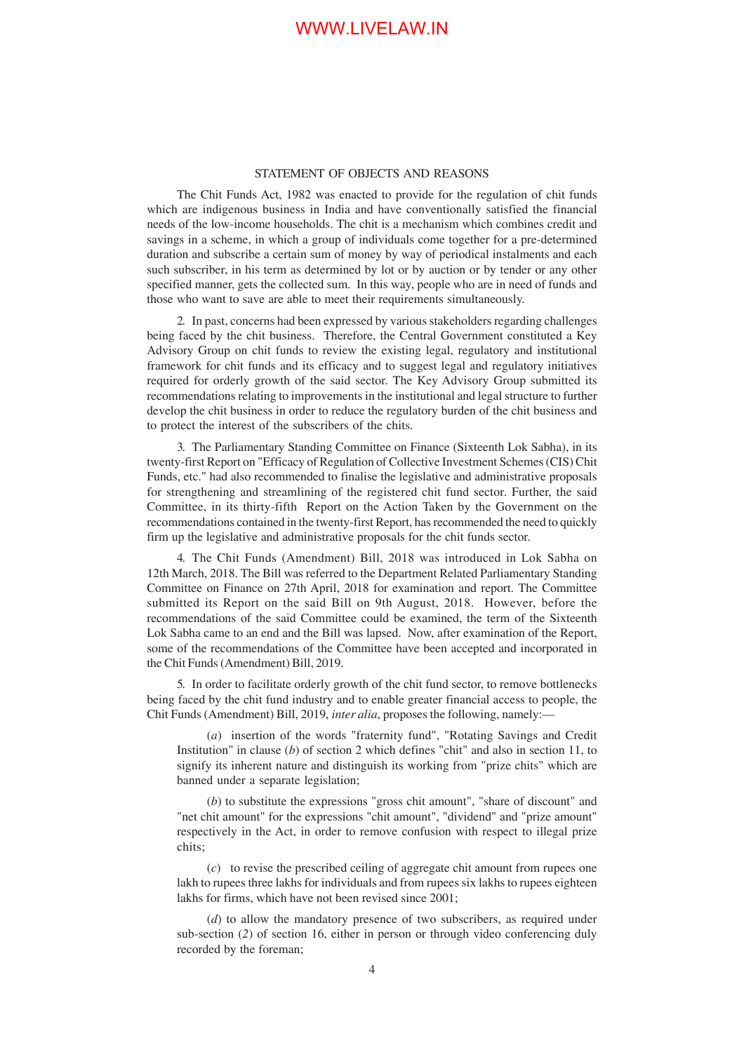#### STATEMENT OF OBJECTS AND REASONS

The Chit Funds Act, 1982 was enacted to provide for the regulation of chit funds which are indigenous business in India and have conventionally satisfied the financial needs of the low-income households. The chit is a mechanism which combines credit and savings in a scheme, in which a group of individuals come together for a pre-determined duration and subscribe a certain sum of money by way of periodical instalments and each such subscriber, in his term as determined by lot or by auction or by tender or any other specified manner, gets the collected sum. In this way, people who are in need of funds and those who want to save are able to meet their requirements simultaneously.

2. In past, concerns had been expressed by various stakeholders regarding challenges being faced by the chit business. Therefore, the Central Government constituted a Key Advisory Group on chit funds to review the existing legal, regulatory and institutional framework for chit funds and its efficacy and to suggest legal and regulatory initiatives required for orderly growth of the said sector. The Key Advisory Group submitted its recommendations relating to improvements in the institutional and legal structure to further develop the chit business in order to reduce the regulatory burden of the chit business and to protect the interest of the subscribers of the chits.

3. The Parliamentary Standing Committee on Finance (Sixteenth Lok Sabha), in its twenty-first Report on "Efficacy of Regulation of Collective Investment Schemes (CIS) Chit Funds, etc." had also recommended to finalise the legislative and administrative proposals for strengthening and streamlining of the registered chit fund sector. Further, the said Committee, in its thirty-fifth Report on the Action Taken by the Government on the recommendations contained in the twenty-first Report, has recommended the need to quickly firm up the legislative and administrative proposals for the chit funds sector.

4. The Chit Funds (Amendment) Bill, 2018 was introduced in Lok Sabha on 12th March, 2018. The Bill was referred to the Department Related Parliamentary Standing Committee on Finance on 27th April, 2018 for examination and report. The Committee submitted its Report on the said Bill on 9th August, 2018. However, before the recommendations of the said Committee could be examined, the term of the Sixteenth Lok Sabha came to an end and the Bill was lapsed. Now, after examination of the Report, some of the recommendations of the Committee have been accepted and incorporated in the Chit Funds (Amendment) Bill, 2019.

5. In order to facilitate orderly growth of the chit fund sector, to remove bottlenecks being faced by the chit fund industry and to enable greater financial access to people, the Chit Funds (Amendment) Bill, 2019, *inter alia*, proposes the following, namely:—

(*a*) insertion of the words "fraternity fund", "Rotating Savings and Credit Institution" in clause (*b*) of section 2 which defines "chit" and also in section 11, to signify its inherent nature and distinguish its working from "prize chits" which are banned under a separate legislation;

(*b*) to substitute the expressions "gross chit amount", "share of discount" and "net chit amount" for the expressions "chit amount", "dividend" and "prize amount" respectively in the Act, in order to remove confusion with respect to illegal prize chits;

(*c*) to revise the prescribed ceiling of aggregate chit amount from rupees one lakh to rupees three lakhs for individuals and from rupees six lakhs to rupees eighteen lakhs for firms, which have not been revised since 2001;

(*d*) to allow the mandatory presence of two subscribers, as required under sub-section (*2*) of section 16, either in person or through video conferencing duly recorded by the foreman;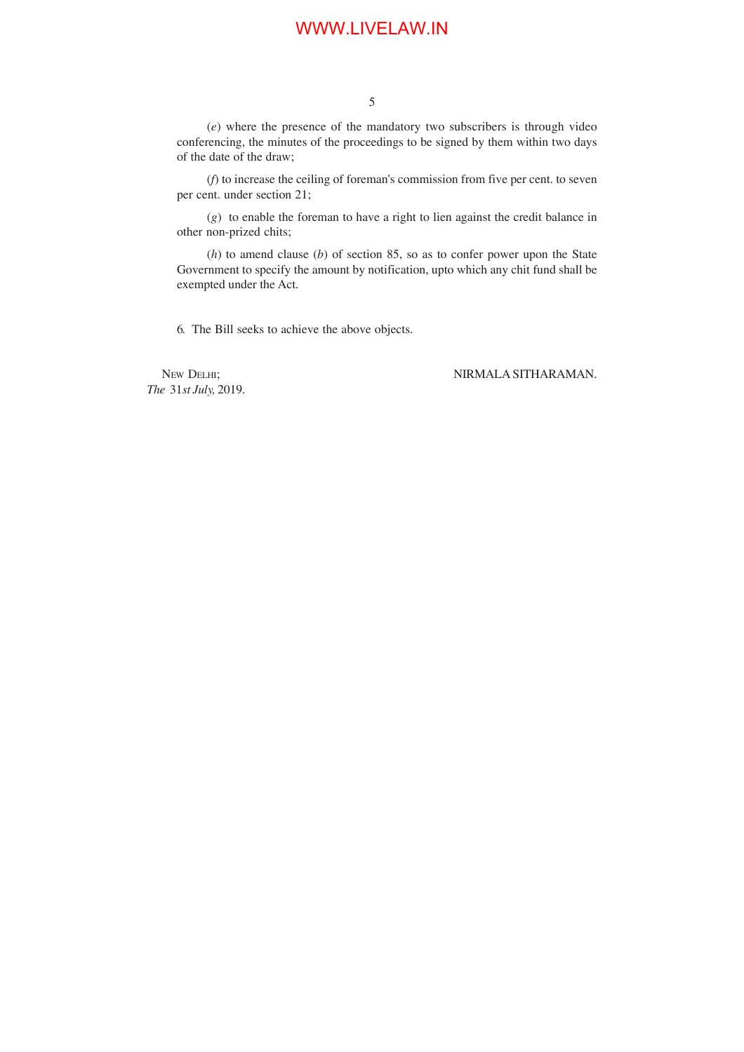(*e*) where the presence of the mandatory two subscribers is through video conferencing, the minutes of the proceedings to be signed by them within two days of the date of the draw;

(*f*) to increase the ceiling of foreman's commission from five per cent. to seven per cent. under section 21;

(*g*) to enable the foreman to have a right to lien against the credit balance in other non-prized chits;

(*h*) to amend clause (*b*) of section 85, so as to confer power upon the State Government to specify the amount by notification, upto which any chit fund shall be exempted under the Act.

6. The Bill seeks to achieve the above objects.

*The* 31*st July,* 2019.

NEW DELHI; NIRMALA SITHARAMAN.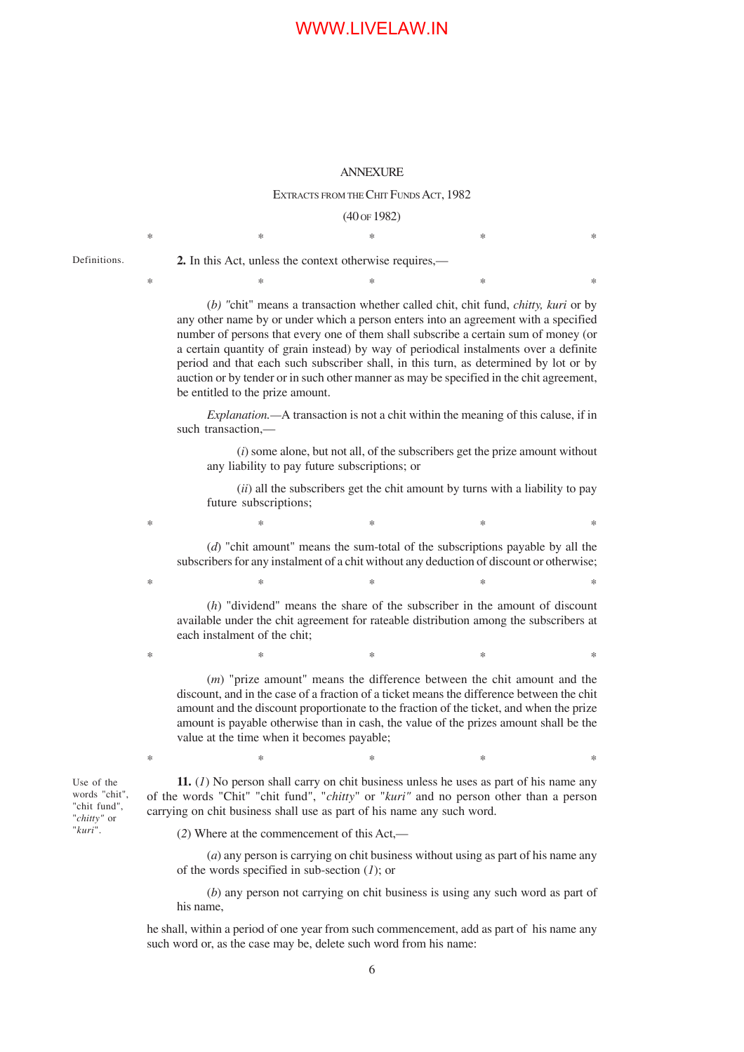#### ANNEXURE

#### EXTRACTS FROM THE CHIT FUNDS ACT, 1982

(40 OF 1982)  $*$  \*  $*$  \*  $*$  \*  $*$  \*

 $*$  \*  $*$  \*  $*$  \*  $*$  \*

Definitions.

**2.** In this Act, unless the context otherwise requires,—

(*b) "*chit" means a transaction whether called chit, chit fund, *chitty, kuri* or by any other name by or under which a person enters into an agreement with a specified number of persons that every one of them shall subscribe a certain sum of money (or a certain quantity of grain instead) by way of periodical instalments over a definite period and that each such subscriber shall, in this turn, as determined by lot or by auction or by tender or in such other manner as may be specified in the chit agreement, be entitled to the prize amount.

*Explanation.—*A transaction is not a chit within the meaning of this caluse, if in such transaction,—

(*i*) some alone, but not all, of the subscribers get the prize amount without any liability to pay future subscriptions; or

(*ii*) all the subscribers get the chit amount by turns with a liability to pay future subscriptions;

(*d*) "chit amount" means the sum-total of the subscriptions payable by all the subscribers for any instalment of a chit without any deduction of discount or otherwise;

 $*$  \*  $*$  \*  $*$  \*  $*$  \*

 $*$  \*  $*$  \*  $*$  \*  $*$  \*

 $*$   $*$   $*$   $*$   $*$   $*$ 

(*h*) "dividend" means the share of the subscriber in the amount of discount available under the chit agreement for rateable distribution among the subscribers at each instalment of the chit;

(*m*) "prize amount" means the difference between the chit amount and the discount, and in the case of a fraction of a ticket means the difference between the chit amount and the discount proportionate to the fraction of the ticket, and when the prize amount is payable otherwise than in cash, the value of the prizes amount shall be the value at the time when it becomes payable;

Use of the words "chit", "chit fund", "*chitty"* or "*kuri*".

**11.** (*1*) No person shall carry on chit business unless he uses as part of his name any of the words "Chit" "chit fund", "*chitty*" or "*kuri"* and no person other than a person carrying on chit business shall use as part of his name any such word.

 $*$  \*  $*$  \*  $*$  \*  $*$  \*

(*2*) Where at the commencement of this Act,—

(*a*) any person is carrying on chit business without using as part of his name any of the words specified in sub-section (*1*); or

(*b*) any person not carrying on chit business is using any such word as part of his name,

he shall, within a period of one year from such commencement, add as part of his name any such word or, as the case may be, delete such word from his name: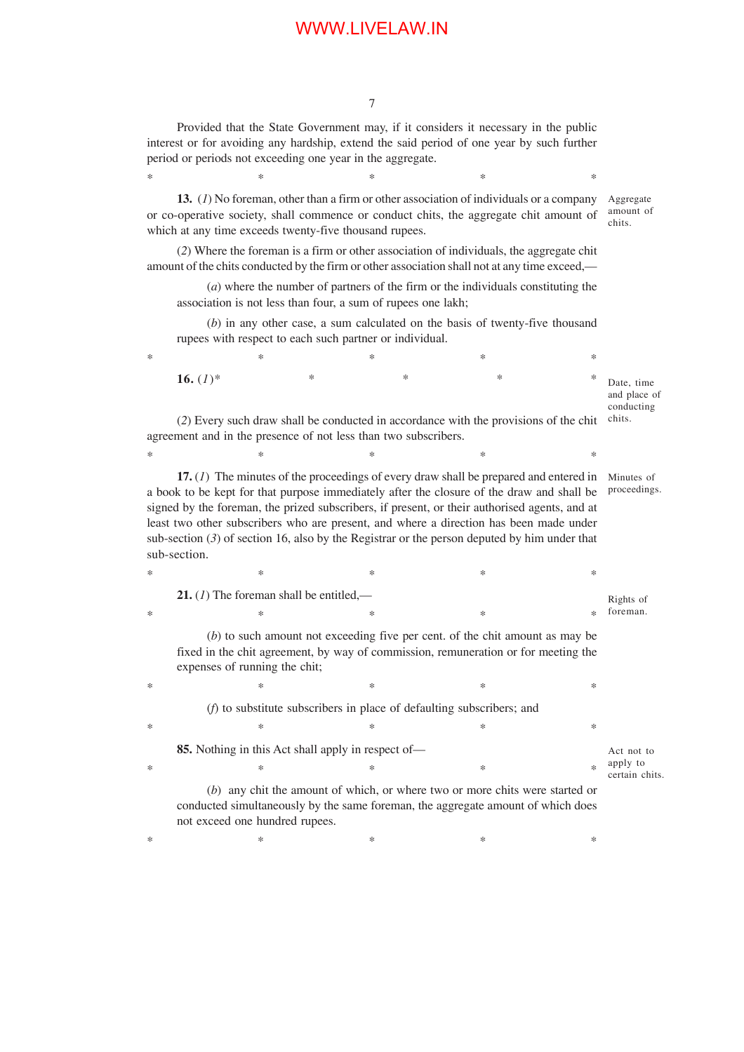7

Provided that the State Government may, if it considers it necessary in the public interest or for avoiding any hardship, extend the said period of one year by such further period or periods not exceeding one year in the aggregate.

 $*$   $*$   $*$   $*$   $*$   $*$ 

**13.** (*1*) No foreman, other than a firm or other association of individuals or a company or co-operative society, shall commence or conduct chits, the aggregate chit amount of which at any time exceeds twenty-five thousand rupees.

(*2*) Where the foreman is a firm or other association of individuals, the aggregate chit amount of the chits conducted by the firm or other association shall not at any time exceed,—

(*a*) where the number of partners of the firm or the individuals constituting the association is not less than four, a sum of rupees one lakh;

(*b*) in any other case, a sum calculated on the basis of twenty-five thousand rupees with respect to each such partner or individual.

| $\ast$                                                                                                                                                  |             | * | ∗ | ∗ | ∗ |                                          |  |
|---------------------------------------------------------------------------------------------------------------------------------------------------------|-------------|---|---|---|---|------------------------------------------|--|
|                                                                                                                                                         | 16. $(I)^*$ | * | ∗ | * | ∗ | Date, time<br>and place of<br>conducting |  |
| (2) Every such draw shall be conducted in accordance with the provisions of the chit<br>agreement and in the presence of not less than two subscribers. |             |   |   |   |   |                                          |  |

Aggregate amount of chits.

**17.** (*1*) The minutes of the proceedings of every draw shall be prepared and entered in Minutes of a book to be kept for that purpose immediately after the closure of the draw and shall be proceedings. signed by the foreman, the prized subscribers, if present, or their authorised agents, and at least two other subscribers who are present, and where a direction has been made under sub-section (*3*) of section 16, also by the Registrar or the person deputed by him under that sub-section.

 $*$  \*  $*$  \*  $*$  \*  $*$  \*

 $*$   $*$   $*$   $*$   $*$   $*$ **21.** (*1*) The foreman shall be entitled,—  $*$  \*  $*$  \*  $*$  \*  $*$  \* Rights of foreman.

(*b*) to such amount not exceeding five per cent. of the chit amount as may be fixed in the chit agreement, by way of commission, remuneration or for meeting the expenses of running the chit;

 $*$  \*  $*$  \*  $*$  \*  $*$  \* (*f*) to substitute subscribers in place of defaulting subscribers; and

| $^{\ast}$ | ∗                                                  | ∗                                                                                                                                                                                                                               | ⋇ |                            |  |
|-----------|----------------------------------------------------|---------------------------------------------------------------------------------------------------------------------------------------------------------------------------------------------------------------------------------|---|----------------------------|--|
|           | 85. Nothing in this Act shall apply in respect of— |                                                                                                                                                                                                                                 |   |                            |  |
| $\ast$    | ×                                                  |                                                                                                                                                                                                                                 |   | apply to<br>certain chits. |  |
|           |                                                    | $\sqrt{7}$ , that is a contract to the contract of the contract of the contract of the contract of the contract of the contract of the contract of the contract of the contract of the contract of the contract of the contract |   |                            |  |

(*b*) any chit the amount of which, or where two or more chits were started or conducted simultaneously by the same foreman, the aggregate amount of which does not exceed one hundred rupees.

 $*$   $*$   $*$   $*$   $*$